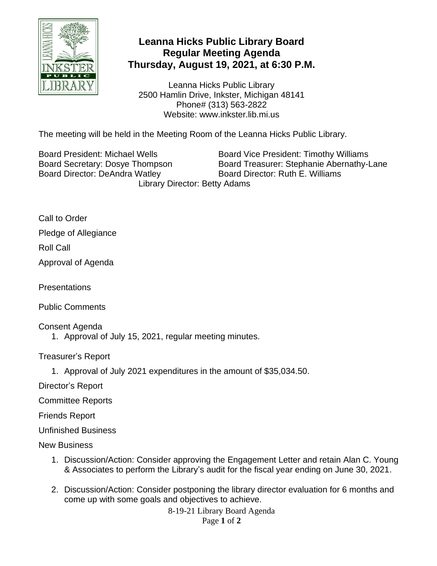

## **Leanna Hicks Public Library Board Regular Meeting Agenda Thursday, August 19, 2021, at 6:30 P.M.**

Leanna Hicks Public Library 2500 Hamlin Drive, Inkster, Michigan 48141 Phone# (313) 563-2822 Website: www.inkster.lib.mi.us

The meeting will be held in the Meeting Room of the Leanna Hicks Public Library.

Board Director: DeAndra Watley Board Director: Ruth E. Williams

Board President: Michael Wells **Board Vice President: Timothy Williams** Board Secretary: Dosye Thompson Board Treasurer: Stephanie Abernathy-Lane Library Director: Betty Adams

Call to Order Pledge of Allegiance Roll Call

Approval of Agenda

**Presentations** 

Public Comments

Consent Agenda

1. Approval of July 15, 2021, regular meeting minutes.

Treasurer's Report

1. Approval of July 2021 expenditures in the amount of \$35,034.50.

Director's Report

Committee Reports

Friends Report

Unfinished Business

New Business

- 1. Discussion/Action: Consider approving the Engagement Letter and retain Alan C. Young & Associates to perform the Library's audit for the fiscal year ending on June 30, 2021.
- 2. Discussion/Action: Consider postponing the library director evaluation for 6 months and come up with some goals and objectives to achieve.

8-19-21 Library Board Agenda

Page **1** of **2**